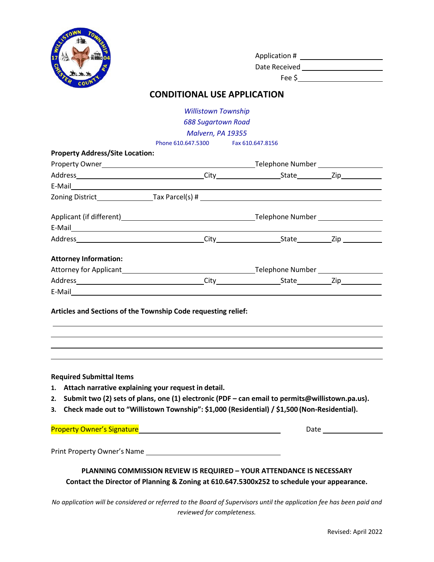

| Application # |  |
|---------------|--|
| Date Received |  |

Fee \$

## **CONDITIONAL USE APPLICATION**

*Willistown Township 688 Sugartown Road*

*Malvern, PA 19355*

Phone 610.647.5300 Fax 610.647.8156

| <b>Property Address/Site Location:</b>                                                                                                                                                                  |                                                                                                                                                                                                                                     |  |                                                                                                               |  |  |
|---------------------------------------------------------------------------------------------------------------------------------------------------------------------------------------------------------|-------------------------------------------------------------------------------------------------------------------------------------------------------------------------------------------------------------------------------------|--|---------------------------------------------------------------------------------------------------------------|--|--|
|                                                                                                                                                                                                         |                                                                                                                                                                                                                                     |  |                                                                                                               |  |  |
|                                                                                                                                                                                                         |                                                                                                                                                                                                                                     |  |                                                                                                               |  |  |
|                                                                                                                                                                                                         |                                                                                                                                                                                                                                     |  |                                                                                                               |  |  |
|                                                                                                                                                                                                         |                                                                                                                                                                                                                                     |  |                                                                                                               |  |  |
|                                                                                                                                                                                                         |                                                                                                                                                                                                                                     |  |                                                                                                               |  |  |
|                                                                                                                                                                                                         |                                                                                                                                                                                                                                     |  |                                                                                                               |  |  |
|                                                                                                                                                                                                         |                                                                                                                                                                                                                                     |  |                                                                                                               |  |  |
| <b>Attorney Information:</b>                                                                                                                                                                            |                                                                                                                                                                                                                                     |  |                                                                                                               |  |  |
|                                                                                                                                                                                                         |                                                                                                                                                                                                                                     |  |                                                                                                               |  |  |
|                                                                                                                                                                                                         |                                                                                                                                                                                                                                     |  |                                                                                                               |  |  |
| E-Mail <b>E-Mail E-Mail</b>                                                                                                                                                                             |                                                                                                                                                                                                                                     |  |                                                                                                               |  |  |
| <b>Required Submittal Items</b><br>1. Attach narrative explaining your request in detail.                                                                                                               |                                                                                                                                                                                                                                     |  |                                                                                                               |  |  |
| 2. Submit two (2) sets of plans, one (1) electronic (PDF - can email to permits@willistown.pa.us).<br>Check made out to "Willistown Township": \$1,000 (Residential) / \$1,500 (Non-Residential).<br>З. |                                                                                                                                                                                                                                     |  |                                                                                                               |  |  |
|                                                                                                                                                                                                         | <b>Property Owner's Signature</b> and the control of the control of the control of the control of the control of the control of the control of the control of the control of the control of the control of the control of the contr |  | Date and the state of the state of the state of the state of the state of the state of the state of the state |  |  |
|                                                                                                                                                                                                         |                                                                                                                                                                                                                                     |  |                                                                                                               |  |  |
|                                                                                                                                                                                                         | PLANNING COMMISSION REVIEW IS REQUIRED - YOUR ATTENDANCE IS NECESSARY<br>Contact the Director of Planning & Zoning at 610.647.5300x252 to schedule your appearance.                                                                 |  |                                                                                                               |  |  |

*No application will be considered or referred to the Board of Supervisors until the application fee has been paid and reviewed for completeness.*